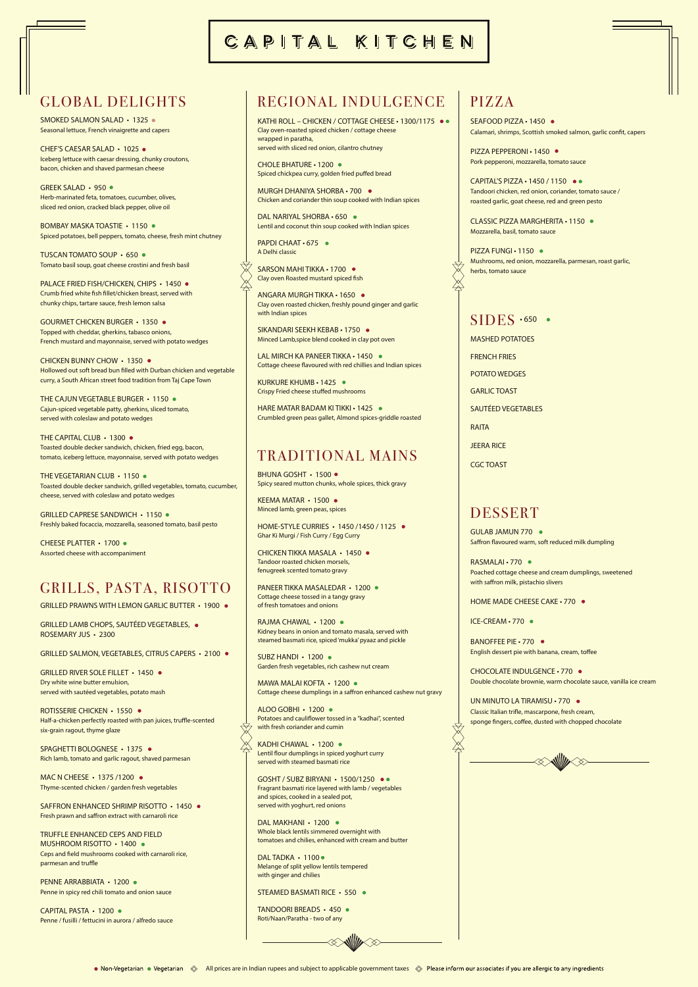SEAFOOD PIZZA • 1450 Calamari, shrimps, Scottish smoked salmon, garlic confit, capers

# PIZZA

PIZZA PEPPERONI • 1450 Pork pepperoni, mozzarella, tomato sauce

PIZZA FUNGI · 1150 · Mushrooms, red onion, mozzarella, parmesan, roast garlic, herbs, tomato sauce

### $SIDES \cdot 650$  •

 $\bigtimes$ 

CAPITAL'S PIZZA • 1450 / 1150 Tandoori chicken, red onion, coriander, tomato sauce / roasted garlic, goat cheese, red and green pesto

KATHI ROLL – CHICKEN / COTTAGE CHEESE • 1300/1175 ●● Clay oven-roasted spiced chicken / cottage cheese wrapped in paratha, served with sliced red onion, cilantro chutney

CHOLE BHATURE • 1200 Spiced chickpea curry, golden fried puffed bread

> CLASSIC PIZZA MARGHERITA • 1150 Mozzarella, basil, tomato sauce

DAL NARIYAL SHORBA • 650 · Lentil and coconut thin soup cooked with Indian spices

PAPDI CHAAT · 675 · A Delhi classic

SARSON MAHI TIKKA • 1700 · Clay oven Roasted mustard spiced fish

# REGIONAL INDULGENCE

KURKURE KHUMB • 1425 Crispy Fried cheese stuffed mushrooms

HARE MATAR BADAM KI TIKKI • 1425 · Crumbled green peas gallet, Almond spices-griddle roasted

MURGH DHANIYA SHORBA • 700 Chicken and coriander thin soup cooked with Indian spices

SMOKED SALMON SALAD • 1325 · Seasonal lettuce, French vinaigrette and capers

GREEK SALAD • 950 · Herb-marinated feta, tomatoes, cucumber, olives, sliced red onion, cracked black pepper, olive oil

BOMBAY MASKA TOASTIE • 1150 · Spiced potatoes, bell peppers, tomato, cheese, fresh mint chutney

> ANGARA MURGH TIKKA • 1650 Clay oven roasted chicken, freshly pound ginger and garlic with Indian spices

PALACE FRIED FISH/CHICKEN, CHIPS · 1450 · Crumb fried white fish fillet/chicken breast, served with chunky chips, tartare sauce, fresh lemon salsa

> SIKANDARI SEEKH KEBAB • 1750 Minced Lamb,spice blend cooked in clay pot oven

LAL MIRCH KA PANFFR TIKKA • 1450 · Cottage cheese flavoured with red chillies and Indian spices

CHICKEN BUNNY CHOW • 1350 · Hollowed out soft bread bun filled with Durban chicken and vegetable curry, a South African street food tradition from Taj Cape Town

THE CAJUN VEGETABLE BURGER • 1150 · Cajun-spiced vegetable patty, gherkins, sliced tomato, served with coleslaw and potato wedges

THE CAPITAL CLUB · 1300 · Toasted double decker sandwich, chicken, fried egg, bacon, tomato, iceberg lettuce, mayonnaise, served with potato wedges

THE VEGETARIAN CLUB • 1150 · Toasted double decker sandwich, grilled vegetables, tomato, cucumber, cheese, served with coleslaw and potato wedges

# CAPITAL KITCHEN

### GLOBAL DELIGHTS

GRILLED CAPRESE SANDWICH • 1150 · Freshly baked focaccia, mozzarella, seasoned tomato, basil pesto MASHED POTATOES FRENCH FRIES POTATO WEDGES GARLIC TOAST SAUTÉED VEGETABLES **RAITA** JEERA RICE CGC TOAST

GRILLED RIVER SOLE FILLET • 1450 . Dry white wine butter emulsion, served with sautéed vegetables, potato mash

CHEF'S CAESAR SALAD • 1025 Iceberg lettuce with caesar dressing, chunky croutons, bacon, chicken and shaved parmesan cheese

MAC N CHEESE • 1375 /1200 ● Thyme-scented chicken / garden fresh vegetables

SAFFRON ENHANCED SHRIMP RISOTTO • 1450 • Fresh prawn and saffron extract with carnaroli rice

TRUFFLE ENHANCED CEPS AND FIELD MUSHROOM RISOTTO • 1400 Ceps and field mushrooms cooked with carnaroli rice, parmesan and truffle

PENNE ARRABBIATA · 1200 · Penne in spicy red chili tomato and onion sauce

TUSCAN TOMATO SOUP • 650 Tomato basil soup, goat cheese crostini and fresh basil

> BHUNA GOSHT • 1500 · Spicy seared mutton chunks, whole spices, thick gravy

KFFMA MATAR • 1500 · Minced lamb, green peas, spices

RAJMA CHAWAL • 1200 · Kidney beans in onion and tomato masala, served with steamed basmati rice, spiced 'mukka' pyaaz and pickle

GOURMET CHICKEN BURGER • 1350 Topped with cheddar, gherkins, tabasco onions, French mustard and mayonnaise, served with potato wedges

> MAWA MALAI KOFTA • 1200 Cottage cheese dumplings in a saffron enhanced cashew nut gravy

 $AIOO GOBHI \cdot 1200$ Potatoes and cauliflower tossed in a "kadhai", scented with fresh coriander and cumin

Lentil flour dumplings in spiced yoghurt curry served with steamed basmati rice

DAL MAKHANI • 1200 · Whole black lentils simmered overnight with tomatoes and chilies, enhanced with cream and butter

DAL TADKA · 1100 · Melange of split yellow lentils tempered with ginger and chilies

GULAB JAMUN 770 Saffron flavoured warm, soft reduced milk dumpling

RASMALAI • 770 · Poached cottage cheese and cream dumplings, sweetened with saffron milk, pistachio slivers

CHEESE PLATTER • 1700 Assorted cheese with accompaniment

## GRILLS, PASTA, RISOTTO

GRILLED PRAWNS WITH LEMON GARLIC BUTTER • 1900 .

GRILLED LAMB CHOPS, SAUTÉED VEGETABLES, ROSEMARY JUS • 2300

GRILLED SALMON, VEGETABLES, CITRUS CAPERS · 2100 ·

ROTISSERIE CHICKEN • 1550 Half-a-chicken perfectly roasted with pan juices, truffle-scented six-grain ragout, thyme glaze

SPAGHETTI BOLOGNESE • 1375 Rich lamb, tomato and garlic ragout, shaved parmesan

CAPITAL PASTA • 1200 Penne / fusilli / fettucini in aurora / alfredo sauce

### TRADITIONAL MAINS

HOME-STYLE CURRIES • 1450 /1450 / 1125 Ghar Ki Murgi / Fish Curry / Egg Curry

CHICKEN TIKKA MASALA • 1450 Tandoor roasted chicken morsels, fenugreek scented tomato gravy

PANEER TIKKA MASALEDAR • 1200 Cottage cheese tossed in a tangy gravy of fresh tomatoes and onions

SUBZ HANDI • 1200 Garden fresh vegetables, rich cashew nut cream

KADHI CHAWAL • 1200

GOSHT / SUBZ BIRYANI • 1500/1250 Fragrant basmati rice layered with lamb / vegetables and spices, cooked in a sealed pot, served with yoghurt, red onions

STEAMED BASMATI RICE • 550

TANDOORI BREADS • 450 Roti/Naan/Paratha - two of any





### DESSERT

HOME MADE CHEESE CAKE • 770

ICE-CREAM • 770

BANOFFEE PIE • 770 · English dessert pie with banana, cream, toffee

CHOCOLATE INDULGENCE • 770 Double chocolate brownie, warm chocolate sauce, vanilla ice cream

UN MINUTO LA TIRAMISU • 770 · Classic Italian trifle, mascarpone, fresh cream, sponge fingers, coffee, dusted with chopped chocolate